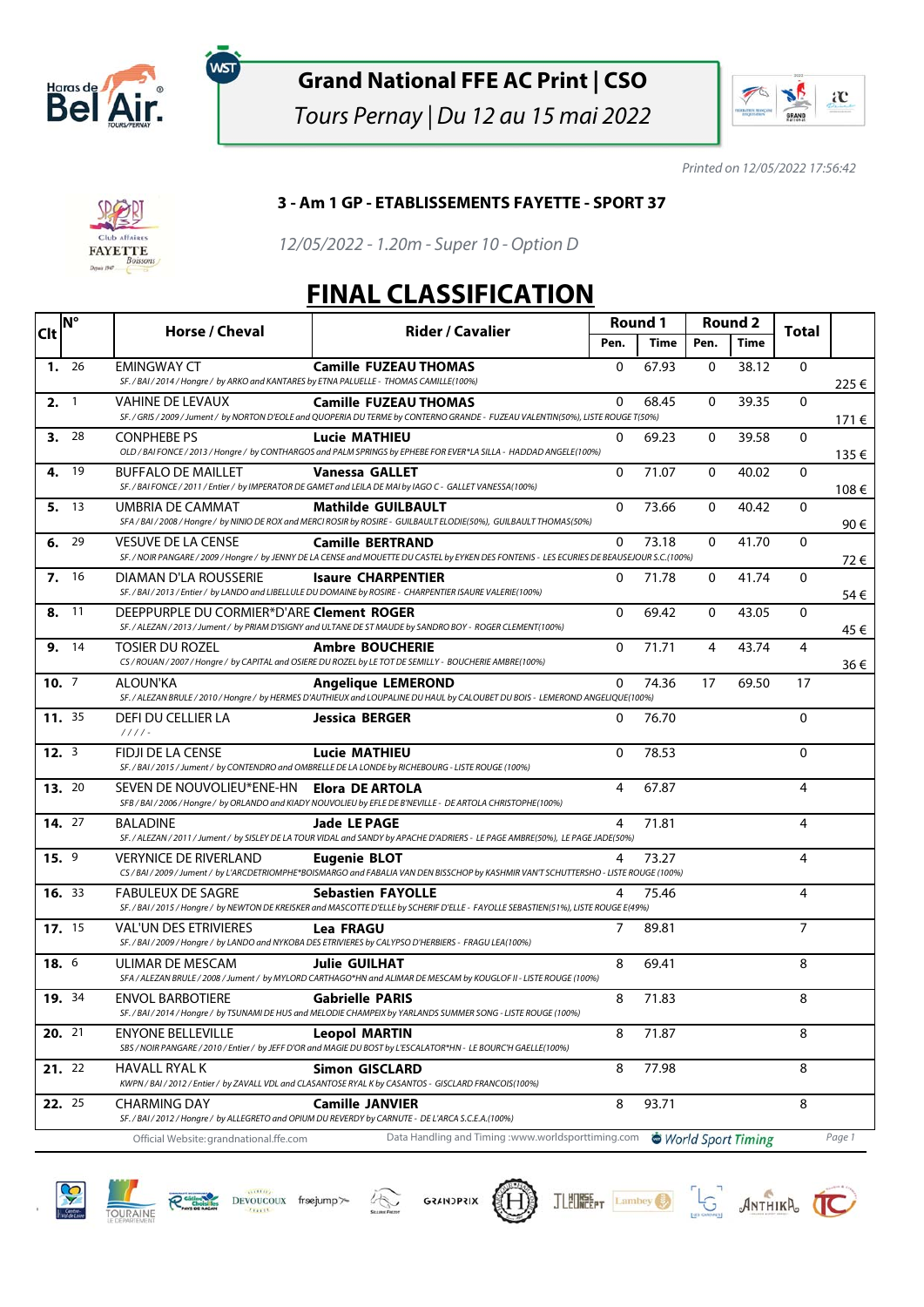

ัพรา

## **Grand National FFE AC Print | CSO**

Tours Pernay | Du 12 au 15 mai 2022



Printed on 12/05/2022 17:56:42



## **3 - Am 1 GP - ETABLISSEMENTS FAYETTE - SPORT 37**

12/05/2022 - 1.20m - Super 10 - Option D

## **FINAL CLASSIFICATION**

| <b>Clt</b> | <b>N°</b>     | Horse / Cheval<br><b>Rider / Cavalier</b>                                                               | Round 1                                                                                                                                                                 |              | <b>Round 2</b> |              | <b>Total</b>       |                |        |
|------------|---------------|---------------------------------------------------------------------------------------------------------|-------------------------------------------------------------------------------------------------------------------------------------------------------------------------|--------------|----------------|--------------|--------------------|----------------|--------|
|            |               |                                                                                                         |                                                                                                                                                                         | Pen.         | Time           | Pen.         | Time               |                |        |
|            | 1.26          | <b>EMINGWAY CT</b><br>SF./BAI/2014/Hongre/ by ARKO and KANTARES by ETNA PALUELLE - THOMAS CAMILLE(100%) | <b>Camille FUZEAU THOMAS</b>                                                                                                                                            | $\mathbf{0}$ | 67.93          | $\mathbf{0}$ | 38.12              | $\mathbf{0}$   | 225€   |
|            | 2.1           | <b>VAHINE DE LEVAUX</b>                                                                                 | <b>Camille FUZEAU THOMAS</b><br>SF. / GRIS / 2009 / Jument / by NORTON D'EOLE and QUOPERIA DU TERME by CONTERNO GRANDE - FUZEAU VALENTIN(50%), LISTE ROUGE T(50%)       | $\Omega$     | 68.45          | $\mathbf{0}$ | 39.35              | $\mathbf{0}$   | 171 €  |
| 3.         | 28            | <b>CONPHEBE PS</b>                                                                                      | Lucie MATHIEU<br>OLD / BAI FONCE / 2013 / Hongre / by CONTHARGOS and PALM SPRINGS by EPHEBE FOR EVER*LA SILLA - HADDAD ANGELE(100%)                                     | $\Omega$     | 69.23          | $\mathbf{0}$ | 39.58              | 0              | 135€   |
| 4.         | - 19          | <b>BUFFALO DE MAILLET</b>                                                                               | <b>Vanessa GALLET</b><br>SF. / BAI FONCE / 2011 / Entier / by IMPERATOR DE GAMET and LEILA DE MAI by IAGO C - GALLET VANESSA(100%)                                      | $\Omega$     | 71.07          | 0            | 40.02              | 0              | 108€   |
|            | 5. 13         | UMBRIA DE CAMMAT                                                                                        | <b>Mathilde GUILBAULT</b><br>SFA / BAI / 2008 / Hongre / by NINIO DE ROX and MERCI ROSIR by ROSIRE - GUILBAULT ELODIE(50%), GUILBAULT THOMAS(50%)                       | $\Omega$     | 73.66          | $\mathbf{0}$ | 40.42              | $\mathbf{0}$   | 90€    |
| 6.         | 29            | <b>VESUVE DE LA CENSE</b>                                                                               | <b>Camille BERTRAND</b><br>SF. / NOIR PANGARE / 2009 / Hongre / by JENNY DE LA CENSE and MOUETTE DU CASTEL by EYKEN DES FONTENIS - LES ECURIES DE BEAUSEJOUR S.C.(100%) | $\Omega$     | 73.18          | $\mathbf{0}$ | 41.70              | $\mathbf{0}$   | 72€    |
|            | 7.16          | DIAMAN D'LA ROUSSERIE                                                                                   | <b>Isaure CHARPENTIER</b><br>SF. / BAI / 2013 / Entier / by LANDO and LIBELLULE DU DOMAINE by ROSIRE - CHARPENTIER ISAURE VALERIE(100%)                                 | 0            | 71.78          | $\mathbf 0$  | 41.74              | 0              | 54€    |
| 8.         | -11           | DEEPPURPLE DU CORMIER*D'ARE Clement ROGER                                                               | SF. / ALEZAN / 2013 / Jument / by PRIAM D'ISIGNY and ULTANE DE ST MAUDE by SANDRO BOY - ROGER CLEMENT(100%)                                                             | $\mathbf{0}$ | 69.42          | 0            | 43.05              | 0              | 45 €   |
|            | 9. 14         | TOSIER DU ROZEL                                                                                         | <b>Ambre BOUCHERIE</b><br>CS / ROUAN / 2007 / Hongre / by CAPITAL and OSIERE DU ROZEL by LE TOT DE SEMILLY - BOUCHERIE AMBRE(100%)                                      | 0            | 71.71          | 4            | 43.74              | $\overline{4}$ | 36€    |
|            | 10.7          | ALOUN'KA                                                                                                | <b>Angelique LEMEROND</b><br>SF. / ALEZAN BRULE / 2010 / Hongre / by HERMES D'AUTHIEUX and LOUPALINE DU HAUL by CALOUBET DU BOIS - LEMEROND ANGELIQUE(100%)             | 0            | 74.36          | 17           | 69.50              | 17             |        |
|            | 11. 35        | DEFI DU CELLIER LA<br>$1111 -$                                                                          | <b>Jessica BERGER</b>                                                                                                                                                   | 0            | 76.70          |              |                    | 0              |        |
|            | 12.3          | FIDJI DE LA CENSE                                                                                       | Lucie MATHIEU<br>SF. / BAI / 2015 / Jument / by CONTENDRO and OMBRELLE DE LA LONDE by RICHEBOURG - LISTE ROUGE (100%)                                                   | $\Omega$     | 78.53          |              |                    | 0              |        |
|            | <b>13.</b> 20 | SEVEN DE NOUVOLIEU*ENE-HN Elora DE ARTOLA                                                               | SFB/BAI/2006/Hongre/ by ORLANDO and KIADY NOUVOLIEU by EFLE DE B'NEVILLE - DE ARTOLA CHRISTOPHE(100%)                                                                   | 4            | 67.87          |              |                    | 4              |        |
|            | 14. 27        | <b>BALADINE</b>                                                                                         | <b>Jade LE PAGE</b><br>SF. / ALEZAN / 2011 / Jument / by SISLEY DE LA TOUR VIDAL and SANDY by APACHE D'ADRIERS - LE PAGE AMBRE(50%), LE PAGE JADE(50%)                  | 4            | 71.81          |              |                    | 4              |        |
| 15.9       |               | <b>VERYNICE DE RIVERLAND</b>                                                                            | Eugenie BLOT<br>CS / BAI / 2009 / Jument / by L'ARCDETRIOMPHE*BOISMARGO and FABALIA VAN DEN BISSCHOP by KASHMIR VAN'T SCHUTTERSHO - LISTE ROUGE (100%)                  | 4            | 73.27          |              |                    | 4              |        |
|            | 16.33         | <b>FABULEUX DE SAGRE</b>                                                                                | <b>Sebastien FAYOLLE</b><br>SF. / BAI / 2015 / Hongre / by NEWTON DE KREISKER and MASCOTTE D'ELLE by SCHERIF D'ELLE - FAYOLLE SEBASTIEN(51%), LISTE ROUGE E(49%)        | 4            | 75.46          |              |                    | 4              |        |
|            | 17. 15        | <b>VAL'UN DES ETRIVIERES</b>                                                                            | Lea FRAGU<br>SF. / BAI / 2009 / Hongre / by LANDO and NYKOBA DES ETRIVIERES by CALYPSO D'HERBIERS - FRAGU LEA(100%)                                                     | 7            | 89.81          |              |                    | $\overline{7}$ |        |
| 18. 6      |               | ULIMAR DE MESCAM                                                                                        | <b>Julie GUILHAT</b><br>SFA / ALEZAN BRULE / 2008 / Jument / by MYLORD CARTHAGO*HN and ALIMAR DE MESCAM by KOUGLOF II - LISTE ROUGE (100%)                              | 8            | 69.41          |              |                    | 8              |        |
|            | 19. 34        | <b>ENVOL BARBOTIERE</b>                                                                                 | <b>Gabrielle PARIS</b><br>SF. / BAI / 2014 / Hongre / by TSUNAMI DE HUS and MELODIE CHAMPEIX by YARLANDS SUMMER SONG - LISTE ROUGE (100%)                               | 8            | 71.83          |              |                    | 8              |        |
|            | 20. 21        | <b>ENYONE BELLEVILLE</b>                                                                                | Leopol MARTIN<br>SBS / NOIR PANGARE / 2010 / Entier / by JEFF D'OR and MAGIE DU BOST by L'ESCALATOR*HN - LE BOURC'H GAELLE(100%)                                        | 8            | 71.87          |              |                    | 8              |        |
|            | 21.22         | HAVALL RYAL K                                                                                           | <b>Simon GISCLARD</b><br>KWPN/BAI/2012/Entier/ by ZAVALL VDL and CLASANTOSE RYAL K by CASANTOS - GISCLARD FRANCOIS(100%)                                                | 8            | 77.98          |              |                    | 8              |        |
|            | 22. 25        | CHARMING DAY                                                                                            | <b>Camille JANVIER</b><br>SF. / BAI / 2012 / Hongre / by ALLEGRETO and OPIUM DU REVERDY by CARNUTE - DE L'ARCA S.C.E.A.(100%)                                           | 8            | 93.71          |              |                    | 8              |        |
|            |               | Official Website: grandnational.ffe.com                                                                 | Data Handling and Timing: www.worldsporttiming.com                                                                                                                      |              |                |              | World Sport Timing |                | Page 1 |











JLEUREEPT Lambey June ANTHIKA